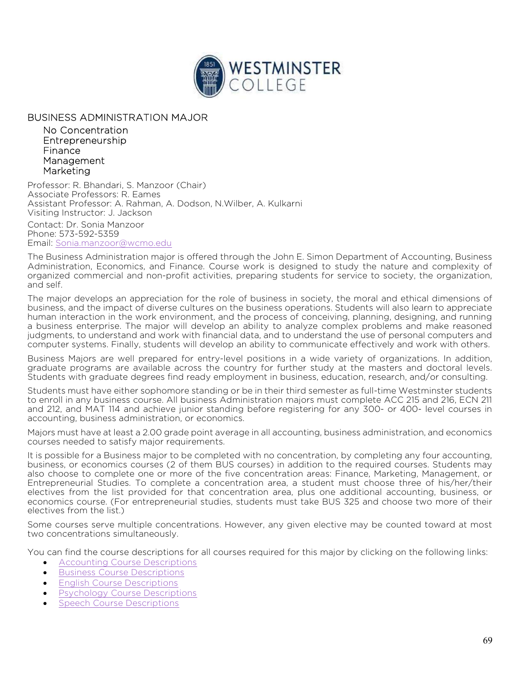

## BUSINESS ADMINISTRATION MAJOR

 No Concentration Entrepreneurship Finance Management Marketing

Professor: R. Bhandari, S. Manzoor (Chair) Associate Professors: R. Eames Assistant Professor: A. Rahman, A. Dodson, N.Wilber, A. Kulkarni Visiting Instructor: J. Jackson

Contact: Dr. Sonia Manzoor Phone: 573-592-5359 Email: Sonia.manzoor@wcmo.edu

The Business Administration major is offered through the John E. Simon Department of Accounting, Business Administration, Economics, and Finance. Course work is designed to study the nature and complexity of organized commercial and non-profit activities, preparing students for service to society, the organization, and self.

The major develops an appreciation for the role of business in society, the moral and ethical dimensions of business, and the impact of diverse cultures on the business operations. Students will also learn to appreciate human interaction in the work environment, and the process of conceiving, planning, designing, and running a business enterprise. The major will develop an ability to analyze complex problems and make reasoned judgments, to understand and work with financial data, and to understand the use of personal computers and computer systems. Finally, students will develop an ability to communicate effectively and work with others.

Business Majors are well prepared for entry-level positions in a wide variety of organizations. In addition, graduate programs are available across the country for further study at the masters and doctoral levels. Students with graduate degrees find ready employment in business, education, research, and/or consulting.

Students must have either sophomore standing or be in their third semester as full-time Westminster students to enroll in any business course. All business Administration majors must complete ACC 215 and 216, ECN 211 and 212, and MAT 114 and achieve junior standing before registering for any 300- or 400- level courses in accounting, business administration, or economics.

Majors must have at least a 2.00 grade point average in all accounting, business administration, and economics courses needed to satisfy major requirements.

It is possible for a Business major to be completed with no concentration, by completing any four accounting, business, or economics courses (2 of them BUS courses) in addition to the required courses. Students may also choose to complete one or more of the five concentration areas: Finance, Marketing, Management, or Entrepreneurial Studies. To complete a concentration area, a student must choose three of his/her/their electives from the list provided for that concentration area, plus one additional accounting, business, or economics course. (For entrepreneurial studies, students must take BUS 325 and choose two more of their electives from the list.)

Some courses serve multiple concentrations. However, any given elective may be counted toward at most two concentrations simultaneously.

You can find the course descriptions for all courses required for this major by clicking on the following links:

- Accounting Course Descriptions
- **•** Business Course Descriptions
- **English Course Descriptions**
- Psychology Course Descriptions
- Speech Course Descriptions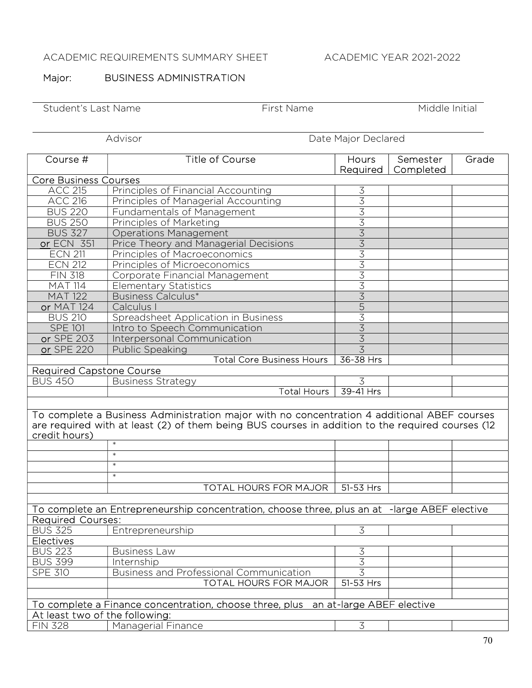## ACADEMIC REQUIREMENTS SUMMARY SHEET ACADEMIC YEAR 2021-2022

## Major: **BUSINESS ADMINISTRATION**

Student's Last Name First Name First Name Middle Initial

Advisor Date Major Declared

| Course #                                                                                         | <b>Title of Course</b>                                                            | Hours                                                   | Semester  | Grade |  |  |
|--------------------------------------------------------------------------------------------------|-----------------------------------------------------------------------------------|---------------------------------------------------------|-----------|-------|--|--|
|                                                                                                  |                                                                                   | Required                                                | Completed |       |  |  |
| <b>Core Business Courses</b>                                                                     |                                                                                   |                                                         |           |       |  |  |
| <b>ACC 215</b>                                                                                   | Principles of Financial Accounting                                                | 3<br>$\overline{3}$                                     |           |       |  |  |
| <b>ACC 216</b><br><b>BUS 220</b>                                                                 | Principles of Managerial Accounting                                               |                                                         |           |       |  |  |
|                                                                                                  | Fundamentals of Management                                                        |                                                         |           |       |  |  |
| <b>BUS 250</b>                                                                                   | Principles of Marketing                                                           | $\frac{3}{3}$                                           |           |       |  |  |
| <b>BUS 327</b>                                                                                   | <b>Operations Management</b>                                                      |                                                         |           |       |  |  |
| or ECN 351                                                                                       | Price Theory and Managerial Decisions                                             | $\frac{3}{3}$ $\frac{3}{3}$ $\frac{3}{3}$ $\frac{3}{3}$ |           |       |  |  |
| <b>ECN 211</b>                                                                                   | Principles of Macroeconomics                                                      |                                                         |           |       |  |  |
| <b>ECN 212</b>                                                                                   | Principles of Microeconomics                                                      |                                                         |           |       |  |  |
| <b>FIN 318</b>                                                                                   | Corporate Financial Management                                                    |                                                         |           |       |  |  |
| <b>MAT 114</b>                                                                                   | <b>Elementary Statistics</b>                                                      |                                                         |           |       |  |  |
| <b>MAT 122</b>                                                                                   | <b>Business Calculus*</b>                                                         | $\overline{3}$                                          |           |       |  |  |
| <b>or MAT 124</b>                                                                                | Calculus I                                                                        |                                                         |           |       |  |  |
| <b>BUS 210</b>                                                                                   | Spreadsheet Application in Business                                               | $\frac{15}{3}$ $\frac{3}{3}$                            |           |       |  |  |
| <b>SPE 101</b>                                                                                   | Intro to Speech Communication                                                     |                                                         |           |       |  |  |
| or SPE 203                                                                                       | Interpersonal Communication                                                       |                                                         |           |       |  |  |
| or SPE 220                                                                                       | Public Speaking                                                                   | $\overline{3}$                                          |           |       |  |  |
|                                                                                                  | <b>Total Core Business Hours</b>                                                  | 36-38 Hrs                                               |           |       |  |  |
| <b>Required Capstone Course</b>                                                                  |                                                                                   |                                                         |           |       |  |  |
| <b>BUS 450</b>                                                                                   | <b>Business Strategy</b>                                                          | 3                                                       |           |       |  |  |
|                                                                                                  | <b>Total Hours</b>                                                                | 39-41 Hrs                                               |           |       |  |  |
|                                                                                                  |                                                                                   |                                                         |           |       |  |  |
| To complete a Business Administration major with no concentration 4 additional ABEF courses      |                                                                                   |                                                         |           |       |  |  |
| are required with at least (2) of them being BUS courses in addition to the required courses (12 |                                                                                   |                                                         |           |       |  |  |
| credit hours)                                                                                    |                                                                                   |                                                         |           |       |  |  |
|                                                                                                  | $\ast$                                                                            |                                                         |           |       |  |  |
|                                                                                                  | $\ast$                                                                            |                                                         |           |       |  |  |
|                                                                                                  | $\ast$                                                                            |                                                         |           |       |  |  |
|                                                                                                  | $\ast$                                                                            |                                                         |           |       |  |  |
|                                                                                                  | <b>TOTAL HOURS FOR MAJOR</b>                                                      | 51-53 Hrs                                               |           |       |  |  |
|                                                                                                  |                                                                                   |                                                         |           |       |  |  |
| To complete an Entrepreneurship concentration, choose three, plus an at -large ABEF elective     |                                                                                   |                                                         |           |       |  |  |
| <b>Required Courses:</b>                                                                         |                                                                                   |                                                         |           |       |  |  |
| <b>BUS 325</b>                                                                                   | Entrepreneurship                                                                  | $\overline{3}$                                          |           |       |  |  |
| Electives                                                                                        |                                                                                   |                                                         |           |       |  |  |
| <b>BUS 223</b>                                                                                   | <b>Business Law</b>                                                               | $\overline{3}$                                          |           |       |  |  |
| <b>BUS 399</b>                                                                                   | Internship                                                                        | $\overline{3}$                                          |           |       |  |  |
| <b>SPE 310</b>                                                                                   | Business and Professional Communication                                           | $\overline{3}$                                          |           |       |  |  |
|                                                                                                  | <b>TOTAL HOURS FOR MAJOR</b>                                                      | $51-53$ Hrs                                             |           |       |  |  |
|                                                                                                  |                                                                                   |                                                         |           |       |  |  |
|                                                                                                  | To complete a Finance concentration, choose three, plus an at-large ABEF elective |                                                         |           |       |  |  |
| At least two of the following:                                                                   |                                                                                   |                                                         |           |       |  |  |
| <b>FIN 328</b>                                                                                   | <b>Managerial Finance</b>                                                         | $\overline{3}$                                          |           |       |  |  |
|                                                                                                  |                                                                                   |                                                         |           |       |  |  |